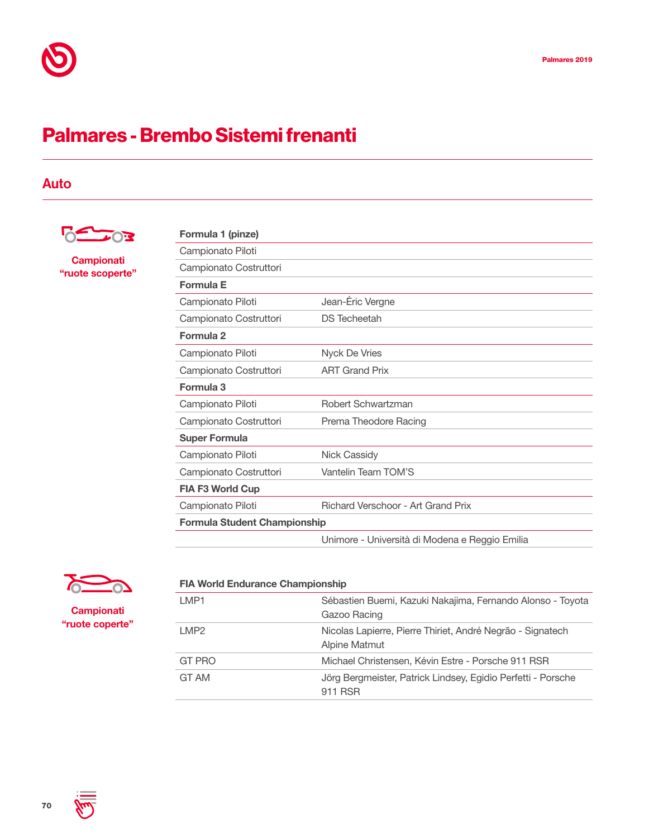## Palmares - Brembo Sistemi frenanti

## Auto



**Campionati** "ruote scoperte"

| Formula 1 (pinze)                   |                                                |  |
|-------------------------------------|------------------------------------------------|--|
| Campionato Piloti                   |                                                |  |
| Campionato Costruttori              |                                                |  |
| Formula E                           |                                                |  |
| Campionato Piloti                   | Jean-Éric Vergne                               |  |
| Campionato Costruttori              | <b>DS</b> Techeetah                            |  |
| Formula 2                           |                                                |  |
| Campionato Piloti                   | Nyck De Vries                                  |  |
| Campionato Costruttori              | <b>ART Grand Prix</b>                          |  |
| Formula 3                           |                                                |  |
| Campionato Piloti                   | Robert Schwartzman                             |  |
| Campionato Costruttori              | Prema Theodore Racing                          |  |
| <b>Super Formula</b>                |                                                |  |
| Campionato Piloti                   | <b>Nick Cassidy</b>                            |  |
| Campionato Costruttori              | Vantelin Team TOM'S                            |  |
| <b>FIA F3 World Cup</b>             |                                                |  |
| Campionato Piloti                   | <b>Richard Verschoor - Art Grand Prix</b>      |  |
| <b>Formula Student Championship</b> |                                                |  |
|                                     | Unimore - Università di Modena e Reggio Emilia |  |
|                                     |                                                |  |



**Campionati** "ruote coperte"

| <b>FIA World Endurance Championship</b> |                                                                                    |  |
|-----------------------------------------|------------------------------------------------------------------------------------|--|
| LMP1                                    | Sébastien Buemi, Kazuki Nakajima, Fernando Alonso - Toyota<br>Gazoo Racing         |  |
| LMP <sub>2</sub>                        | Nicolas Lapierre, Pierre Thiriet, André Negrão - Signatech<br><b>Alpine Matmut</b> |  |
| GT PRO                                  | Michael Christensen, Kévin Estre - Porsche 911 RSR                                 |  |
| GT AM                                   | Jörg Bergmeister, Patrick Lindsey, Egidio Perfetti - Porsche<br>911 RSR            |  |



70